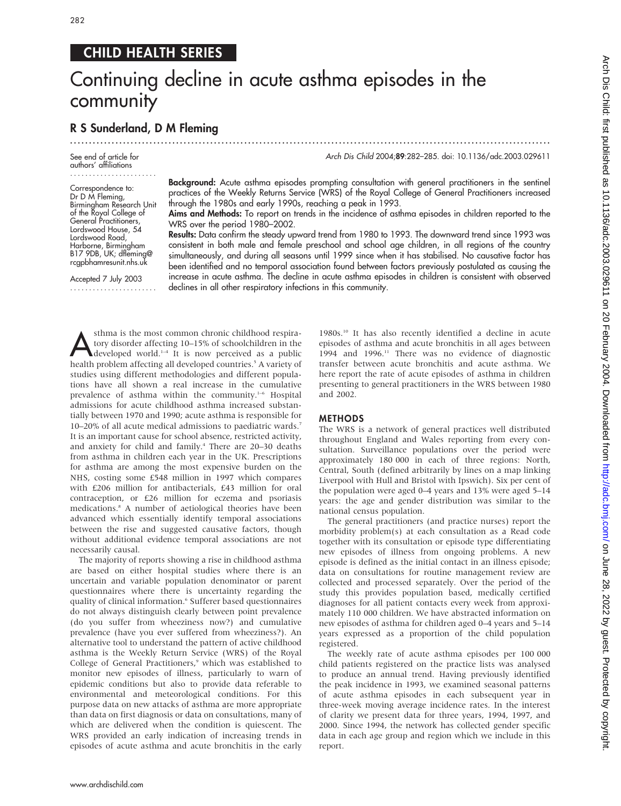282

## CHILD HEALTH SERIES

# Continuing decline in acute asthma episodes in the community

.............................................................................................................................. .

### R S Sunderland, D M Fleming

See end of article for authors' affiliations .......................

Correspondence to: Dr D M Fleming, Birmingham Research Unit of the Royal College of General Practitioners Lordswood House, 54 Lordswood Road, Harborne, Birmingham B17 9DB, UK; dfleming@ rcgpbhamresunit.nhs.uk

Accepted 7 July 2003 ....................... Arch Dis Child 2004;89:282–285. doi: 10.1136/adc.2003.029611

Background: Acute asthma episodes prompting consultation with general practitioners in the sentinel practices of the Weekly Returns Service (WRS) of the Royal College of General Practitioners increased through the 1980s and early 1990s, reaching a peak in 1993.

Aims and Methods: To report on trends in the incidence of asthma episodes in children reported to the WRS over the period 1980–2002.

Results: Data confirm the steady upward trend from 1980 to 1993. The downward trend since 1993 was consistent in both male and female preschool and school age children, in all regions of the country simultaneously, and during all seasons until 1999 since when it has stabilised. No causative factor has been identified and no temporal association found between factors previously postulated as causing the increase in acute asthma. The decline in acute asthma episodes in children is consistent with observed declines in all other respiratory infections in this community.

**Asthma** is the most common chronic childhood respira-<br>tory disorder affecting 10–15% of schoolchildren in the<br>developed world.<sup>1-4</sup> It is now perceived as a public<br>boalth problem affecting all developed countries.<sup>5</sup> A v tory disorder affecting 10–15% of schoolchildren in the health problem affecting all developed countries.<sup>5</sup> A variety of studies using different methodologies and different populations have all shown a real increase in the cumulative prevalence of asthma within the community.<sup>1-6</sup> Hospital admissions for acute childhood asthma increased substantially between 1970 and 1990; acute asthma is responsible for 10–20% of all acute medical admissions to paediatric wards.7 It is an important cause for school absence, restricted activity, and anxiety for child and family.<sup>4</sup> There are 20-30 deaths from asthma in children each year in the UK. Prescriptions for asthma are among the most expensive burden on the NHS, costing some £548 million in 1997 which compares with £206 million for antibacterials, £43 million for oral contraception, or £26 million for eczema and psoriasis medications.8 A number of aetiological theories have been advanced which essentially identify temporal associations between the rise and suggested causative factors, though without additional evidence temporal associations are not necessarily causal.

The majority of reports showing a rise in childhood asthma are based on either hospital studies where there is an uncertain and variable population denominator or parent questionnaires where there is uncertainty regarding the quality of clinical information.<sup>6</sup> Sufferer based questionnaires do not always distinguish clearly between point prevalence (do you suffer from wheeziness now?) and cumulative prevalence (have you ever suffered from wheeziness?). An alternative tool to understand the pattern of active childhood asthma is the Weekly Return Service (WRS) of the Royal College of General Practitioners,<sup>9</sup> which was established to monitor new episodes of illness, particularly to warn of epidemic conditions but also to provide data referable to environmental and meteorological conditions. For this purpose data on new attacks of asthma are more appropriate than data on first diagnosis or data on consultations, many of which are delivered when the condition is quiescent. The WRS provided an early indication of increasing trends in episodes of acute asthma and acute bronchitis in the early

1980s.10 It has also recently identified a decline in acute episodes of asthma and acute bronchitis in all ages between 1994 and 1996.11 There was no evidence of diagnostic transfer between acute bronchitis and acute asthma. We here report the rate of acute episodes of asthma in children presenting to general practitioners in the WRS between 1980 and 2002.

#### METHODS

The WRS is a network of general practices well distributed throughout England and Wales reporting from every consultation. Surveillance populations over the period were approximately 180 000 in each of three regions: North, Central, South (defined arbitrarily by lines on a map linking Liverpool with Hull and Bristol with Ipswich). Six per cent of the population were aged 0–4 years and 13% were aged 5–14 years: the age and gender distribution was similar to the national census population.

The general practitioners (and practice nurses) report the morbidity problem(s) at each consultation as a Read code together with its consultation or episode type differentiating new episodes of illness from ongoing problems. A new episode is defined as the initial contact in an illness episode; data on consultations for routine management review are collected and processed separately. Over the period of the study this provides population based, medically certified diagnoses for all patient contacts every week from approximately 110 000 children. We have abstracted information on new episodes of asthma for children aged 0–4 years and 5–14 years expressed as a proportion of the child population registered.

The weekly rate of acute asthma episodes per 100 000 child patients registered on the practice lists was analysed to produce an annual trend. Having previously identified the peak incidence in 1993, we examined seasonal patterns of acute asthma episodes in each subsequent year in three-week moving average incidence rates. In the interest of clarity we present data for three years, 1994, 1997, and 2000. Since 1994, the network has collected gender specific data in each age group and region which we include in this report.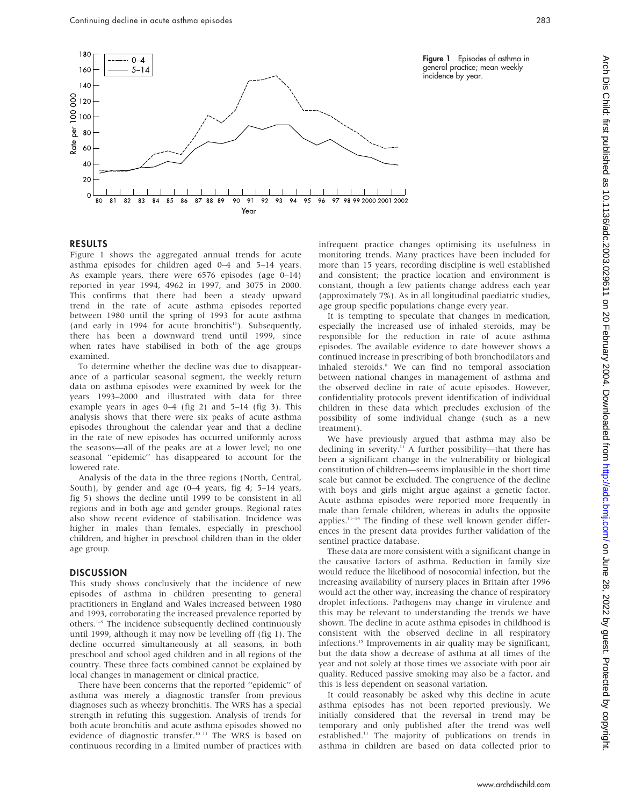

#### RESULTS

Figure 1 shows the aggregated annual trends for acute asthma episodes for children aged 0–4 and 5–14 years. As example years, there were 6576 episodes (age 0–14) reported in year 1994, 4962 in 1997, and 3075 in 2000. This confirms that there had been a steady upward trend in the rate of acute asthma episodes reported between 1980 until the spring of 1993 for acute asthma (and early in 1994 for acute bronchitis $11$ ). Subsequently, there has been a downward trend until 1999, since when rates have stabilised in both of the age groups examined.

To determine whether the decline was due to disappearance of a particular seasonal segment, the weekly return data on asthma episodes were examined by week for the years 1993–2000 and illustrated with data for three example years in ages 0–4 (fig 2) and 5–14 (fig 3). This analysis shows that there were six peaks of acute asthma episodes throughout the calendar year and that a decline in the rate of new episodes has occurred uniformly across the seasons—all of the peaks are at a lower level; no one seasonal ''epidemic'' has disappeared to account for the lowered rate.

Analysis of the data in the three regions (North, Central, South), by gender and age (0–4 years, fig 4; 5–14 years, fig 5) shows the decline until 1999 to be consistent in all regions and in both age and gender groups. Regional rates also show recent evidence of stabilisation. Incidence was higher in males than females, especially in preschool children, and higher in preschool children than in the older age group.

#### **DISCUSSION**

This study shows conclusively that the incidence of new episodes of asthma in children presenting to general practitioners in England and Wales increased between 1980 and 1993, corroborating the increased prevalence reported by others.1–5 The incidence subsequently declined continuously until 1999, although it may now be levelling off (fig 1). The decline occurred simultaneously at all seasons, in both preschool and school aged children and in all regions of the country. These three facts combined cannot be explained by local changes in management or clinical practice.

There have been concerns that the reported ''epidemic'' of asthma was merely a diagnostic transfer from previous diagnoses such as wheezy bronchitis. The WRS has a special strength in refuting this suggestion. Analysis of trends for both acute bronchitis and acute asthma episodes showed no evidence of diagnostic transfer.10 11 The WRS is based on continuous recording in a limited number of practices with infrequent practice changes optimising its usefulness in monitoring trends. Many practices have been included for more than 15 years, recording discipline is well established and consistent; the practice location and environment is constant, though a few patients change address each year (approximately 7%). As in all longitudinal paediatric studies, age group specific populations change every year.

It is tempting to speculate that changes in medication, especially the increased use of inhaled steroids, may be responsible for the reduction in rate of acute asthma episodes. The available evidence to date however shows a continued increase in prescribing of both bronchodilators and inhaled steroids.8 We can find no temporal association between national changes in management of asthma and the observed decline in rate of acute episodes. However, confidentiality protocols prevent identification of individual children in these data which precludes exclusion of the possibility of some individual change (such as a new treatment).

We have previously argued that asthma may also be declining in severity.<sup>11</sup> A further possibility—that there has been a significant change in the vulnerability or biological constitution of children—seems implausible in the short time scale but cannot be excluded. The congruence of the decline with boys and girls might argue against a genetic factor. Acute asthma episodes were reported more frequently in male than female children, whereas in adults the opposite applies.11–14 The finding of these well known gender differences in the present data provides further validation of the sentinel practice database.

These data are more consistent with a significant change in the causative factors of asthma. Reduction in family size would reduce the likelihood of nosocomial infection, but the increasing availability of nursery places in Britain after 1996 would act the other way, increasing the chance of respiratory droplet infections. Pathogens may change in virulence and this may be relevant to understanding the trends we have shown. The decline in acute asthma episodes in childhood is consistent with the observed decline in all respiratory infections.15 Improvements in air quality may be significant, but the data show a decrease of asthma at all times of the year and not solely at those times we associate with poor air quality. Reduced passive smoking may also be a factor, and this is less dependent on seasonal variation.

It could reasonably be asked why this decline in acute asthma episodes has not been reported previously. We initially considered that the reversal in trend may be temporary and only published after the trend was well established.11 The majority of publications on trends in asthma in children are based on data collected prior to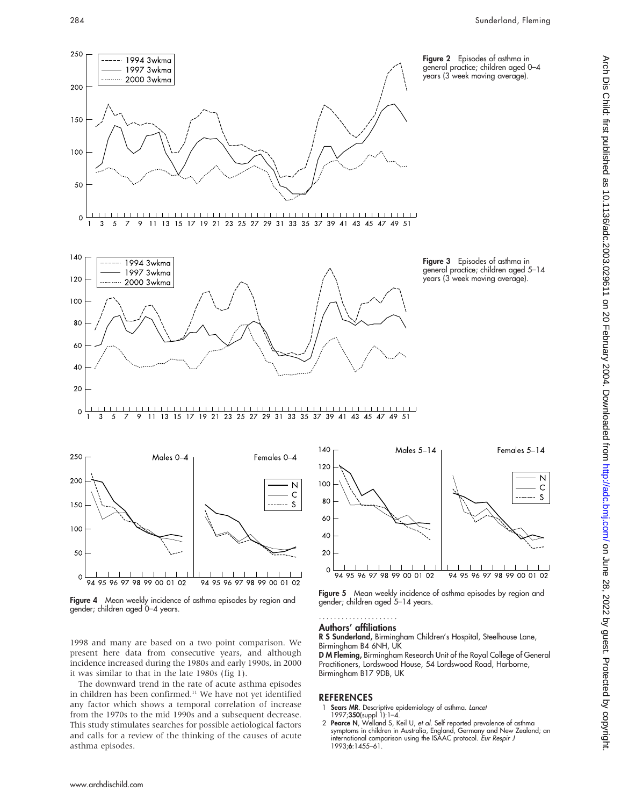



Figure 4 Mean weekly incidence of asthma episodes by region and gender; children aged 0–4 years.

1998 and many are based on a two point comparison. We present here data from consecutive years, and although incidence increased during the 1980s and early 1990s, in 2000 it was similar to that in the late 1980s (fig 1).

The downward trend in the rate of acute asthma episodes in children has been confirmed.<sup>11</sup> We have not yet identified any factor which shows a temporal correlation of increase from the 1970s to the mid 1990s and a subsequent decrease. This study stimulates searches for possible aetiological factors and calls for a review of the thinking of the causes of acute asthma episodes.



Figure 5 Mean weekly incidence of asthma episodes by region and gender; children aged 5–14 years.

#### Authors' affiliations .....................

R S Sunderland, Birmingham Children's Hospital, Steelhouse Lane, Birmingham B4 6NH, UK

D M Fleming, Birmingham Research Unit of the Royal College of General Practitioners, Lordswood House, 54 Lordswood Road, Harborne, Birmingham B17 9DB, UK

#### REFERENCES

- 1 **Sears MR**. Descriptive epidemiology of asthma. *Lance*<br>1997;**350**(suppl 1):1–4.
- 2 Pearce N, Welland S, Keil U, et al. Self reported prevalence of asthma symptoms in children in Australia, England, Germany and New Zealand; an international comparison using the ISAAC protocol. Eur Respir J 1993;6:1455–61.